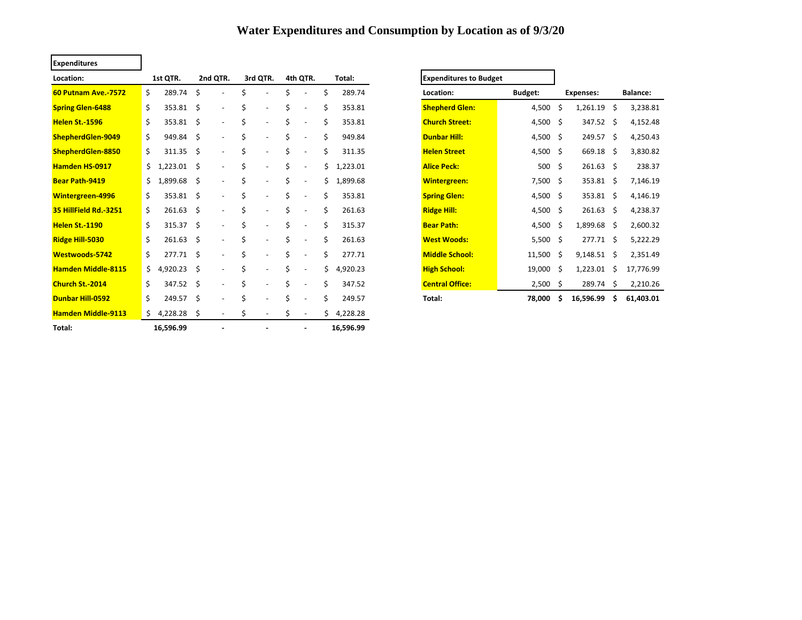## **Water Expenditures and Consumption by Location as of 9/3/20**

| <b>Expenditures</b>        |     |                   |      |                          |    |                          |    |                          |    |           |                               |                |     |                  |     |           |
|----------------------------|-----|-------------------|------|--------------------------|----|--------------------------|----|--------------------------|----|-----------|-------------------------------|----------------|-----|------------------|-----|-----------|
| Location:                  |     | 1st QTR.          |      | 2nd QTR.                 |    | 3rd QTR.                 |    | 4th QTR.                 |    | Total:    | <b>Expenditures to Budget</b> |                |     |                  |     |           |
| <b>60 Putnam Ave. 7572</b> | \$  | 289.74            | \$   |                          | Ś  |                          | \$ |                          | Ś  | 289.74    | Location:                     | <b>Budget:</b> |     | <b>Expenses:</b> |     | Balance:  |
| <b>Spring Glen-6488</b>    | \$  | $353.81 \quad $$  |      | $\overline{\phantom{a}}$ | \$ | $\overline{\phantom{a}}$ | \$ |                          | Ś  | 353.81    | <b>Shepherd Glen:</b>         | 4,500          | -\$ | 1,261.19         | -\$ | 3,238.81  |
| <b>Helen St.-1596</b>      | \$  | 353.81 \$         |      | $\blacksquare$           | \$ | $\overline{\phantom{a}}$ | \$ |                          | Ś  | 353.81    | <b>Church Street:</b>         | 4,500 \$       |     | 347.52 \$        |     | 4,152.48  |
| ShepherdGlen-9049          | \$  | 949.84 \$         |      | $\blacksquare$           | \$ | $\overline{\phantom{a}}$ | \$ |                          |    | 949.84    | <b>Dunbar Hill:</b>           | 4,500 \$       |     | $249.57$ \$      |     | 4,250.43  |
| ShepherdGlen-8850          | \$  | $311.35 \quad $$  |      | $\blacksquare$           | \$ | $\overline{\phantom{a}}$ | \$ |                          |    | 311.35    | <b>Helen Street</b>           | 4,500 \$       |     | 669.18 \$        |     | 3,830.82  |
| <b>Hamden HS-0917</b>      | \$  | $1,223.01$ \$     |      | $\blacksquare$           | \$ | $\overline{\phantom{a}}$ | \$ | $\overline{\phantom{a}}$ | Ś. | 1,223.01  | <b>Alice Peck:</b>            | $500 \div$     |     | $261.63$ \$      |     | 238.37    |
| <b>Bear Path-9419</b>      | \$. | 1,899.68 \$       |      | $\overline{\phantom{a}}$ | \$ | $\overline{\phantom{a}}$ | \$ | $\overline{\phantom{a}}$ | Ś. | 1,899.68  | <b>Wintergreen:</b>           | $7,500$ \$     |     | 353.81 \$        |     | 7,146.19  |
| <b>Wintergreen-4996</b>    | Ś.  | 353.81 \$         |      | $\sim$                   | Ś  | $\overline{\phantom{a}}$ | \$ |                          |    | 353.81    | <b>Spring Glen:</b>           | 4,500 \$       |     | 353.81 \$        |     | 4,146.19  |
| 35 HillField Rd. 3251      | \$  | $261.63$ \$       |      | $\overline{\phantom{a}}$ | Ś. | $\overline{\phantom{a}}$ | Ś. | $\overline{\phantom{a}}$ |    | 261.63    | <b>Ridge Hill:</b>            | 4,500 \$       |     | 261.63           | - Ś | 4,238.37  |
| <b>Helen St.-1190</b>      | Ś.  | 315.37 \$         |      | $\overline{\phantom{a}}$ | Ś. | $\overline{a}$           | Ś. |                          |    | 315.37    | <b>Bear Path:</b>             | 4,500          | -\$ | 1,899.68 \$      |     | 2,600.32  |
| Ridge Hill-5030            | Ś.  | $261.63 \quad $$  |      | $\blacksquare$           | Ś. | $\overline{\phantom{a}}$ | Ś. | $\overline{\phantom{a}}$ |    | 261.63    | <b>West Woods:</b>            | 5,500 \$       |     | $277.71$ \$      |     | 5,222.29  |
| Westwoods-5742             | Ś.  | $277.71 \quad$ \$ |      | $\sim$                   | Ś. | $\overline{\phantom{a}}$ | Ś. |                          |    | 277.71    | <b>Middle School:</b>         | 11,500         | -\$ | $9,148.51$ \$    |     | 2,351.49  |
| <b>Hamden Middle-8115</b>  | \$  | 4,920.23          | - \$ | $\overline{\phantom{a}}$ | Ś. | $\overline{\phantom{a}}$ | Ś. |                          |    | 4,920.23  | <b>High School:</b>           | 19,000         | -\$ | 1,223.01         | -\$ | 17,776.99 |
| Church St.-2014            | Ś.  | 347.52 \$         |      | $\overline{a}$           | Ś. |                          | Ś  |                          |    | 347.52    | <b>Central Office:</b>        | 2,500          | -\$ | 289.74           | - Ś | 2,210.26  |
| <b>Dunbar Hill-0592</b>    | \$  | 249.57 \$         |      | $\overline{\phantom{a}}$ | Ś. |                          | Ś  |                          |    | 249.57    | Total:                        | 78,000         | \$. | 16,596.99        | Ś.  | 61,403.01 |
| <b>Hamden Middle-9113</b>  | \$  | 4,228.28 \$       |      | $\overline{\phantom{a}}$ | \$ |                          | \$ | $\overline{\phantom{a}}$ | Ś. | 4,228.28  |                               |                |     |                  |     |           |
| Total:                     |     | 16,596.99         |      |                          |    |                          |    |                          |    | 16,596.99 |                               |                |     |                  |     |           |

| <b>Expenditures to Budget</b> |                |                  |           |                 |           |  |
|-------------------------------|----------------|------------------|-----------|-----------------|-----------|--|
| Location:                     | <b>Budget:</b> | <b>Expenses:</b> |           | <b>Balance:</b> |           |  |
| <b>Shepherd Glen:</b>         | 4,500          | \$               | 1,261.19  | \$              | 3,238.81  |  |
| <b>Church Street:</b>         | 4,500          | \$               | 347.52    | \$              | 4,152.48  |  |
| <b>Dunbar Hill:</b>           | 4,500          | \$               | 249.57    | \$              | 4,250.43  |  |
| <b>Helen Street</b>           | 4,500          | \$               | 669.18    | \$              | 3,830.82  |  |
| <b>Alice Peck:</b>            | 500            | \$               | 261.63    | Ś               | 238.37    |  |
| <b>Wintergreen:</b>           | 7,500          | \$               | 353.81    | Ś.              | 7,146.19  |  |
| <b>Spring Glen:</b>           | 4,500          | \$               | 353.81    | \$              | 4,146.19  |  |
| <b>Ridge Hill:</b>            | 4,500          | \$               | 261.63    | Ś.              | 4,238.37  |  |
| <b>Bear Path:</b>             | 4,500          | \$               | 1,899.68  | \$              | 2,600.32  |  |
| <b>West Woods:</b>            | 5,500          | \$               | 277.71    | Ś.              | 5,222.29  |  |
| <b>Middle School:</b>         | 11,500         | \$               | 9,148.51  | \$              | 2,351.49  |  |
| <b>High School:</b>           | 19,000         | \$               | 1,223.01  | Ś               | 17,776.99 |  |
| <b>Central Office:</b>        | 2,500          | \$               | 289.74    | \$              | 2,210.26  |  |
| Total:                        | 78,000         | Ś                | 16,596.99 | \$              | 61,403.01 |  |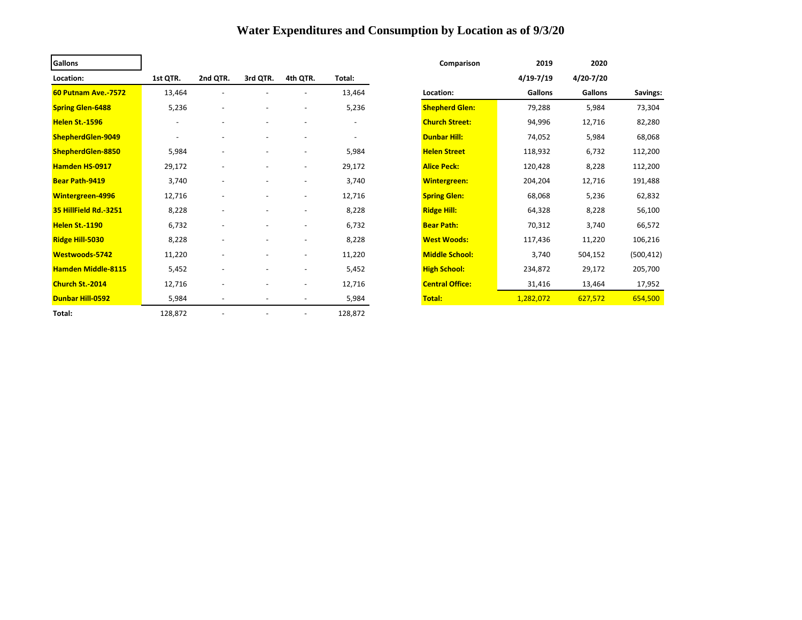## **Water Expenditures and Consumption by Location as of 9/3/20**

| <b>Gallons</b>             |                          |                          |                          |                          |         | Comparison             | 2019           | 2020           |            |
|----------------------------|--------------------------|--------------------------|--------------------------|--------------------------|---------|------------------------|----------------|----------------|------------|
| Location:                  | 1st QTR.                 | 2nd QTR.                 | 3rd QTR.                 | 4th QTR.                 | Total:  |                        | $4/19 - 7/19$  | 4/20-7/20      |            |
| <b>60 Putnam Ave.-7572</b> | 13,464                   | $\overline{\phantom{a}}$ | $\overline{\phantom{a}}$ | $\overline{\phantom{a}}$ | 13,464  | Location:              | <b>Gallons</b> | <b>Gallons</b> | Savings:   |
| <b>Spring Glen-6488</b>    | 5,236                    | $\overline{\phantom{a}}$ | $\overline{\phantom{a}}$ | ٠                        | 5,236   | <b>Shepherd Glen:</b>  | 79,288         | 5,984          | 73,304     |
| Helen St.-1596             | $\overline{\phantom{a}}$ |                          | $\overline{\phantom{a}}$ |                          |         | <b>Church Street:</b>  | 94,996         | 12,716         | 82,280     |
| ShepherdGlen-9049          |                          |                          | $\overline{\phantom{a}}$ | $\overline{\phantom{a}}$ |         | <b>Dunbar Hill:</b>    | 74,052         | 5,984          | 68,068     |
| ShepherdGlen-8850          | 5,984                    |                          | $\overline{\phantom{a}}$ | $\overline{\phantom{a}}$ | 5,984   | <b>Helen Street</b>    | 118,932        | 6,732          | 112,200    |
| Hamden HS-0917             | 29,172                   |                          | $\overline{\phantom{a}}$ | $\overline{\phantom{a}}$ | 29,172  | <b>Alice Peck:</b>     | 120,428        | 8,228          | 112,200    |
| <b>Bear Path-9419</b>      | 3,740                    |                          |                          | $\overline{\phantom{a}}$ | 3,740   | <b>Wintergreen:</b>    | 204,204        | 12,716         | 191,488    |
| <b>Wintergreen-4996</b>    | 12,716                   |                          |                          | $\overline{\phantom{a}}$ | 12,716  | <b>Spring Glen:</b>    | 68,068         | 5,236          | 62,832     |
| 35 HillField Rd. 3251      | 8,228                    |                          |                          |                          | 8,228   | <b>Ridge Hill:</b>     | 64,328         | 8,228          | 56,100     |
| <b>Helen St.-1190</b>      | 6,732                    |                          |                          |                          | 6,732   | <b>Bear Path:</b>      | 70,312         | 3,740          | 66,572     |
| Ridge Hill-5030            | 8,228                    |                          | $\overline{\phantom{a}}$ | $\overline{\phantom{a}}$ | 8,228   | <b>West Woods:</b>     | 117,436        | 11,220         | 106,216    |
| <b>Westwoods-5742</b>      | 11,220                   |                          | $\overline{\phantom{a}}$ | $\overline{\phantom{a}}$ | 11,220  | <b>Middle School:</b>  | 3,740          | 504,152        | (500, 412) |
| <b>Hamden Middle-8115</b>  | 5,452                    |                          | $\overline{\phantom{a}}$ | $\overline{\phantom{a}}$ | 5,452   | <b>High School:</b>    | 234,872        | 29,172         | 205,700    |
| <b>Church St.-2014</b>     | 12,716                   |                          | $\overline{\phantom{a}}$ | $\overline{\phantom{a}}$ | 12,716  | <b>Central Office:</b> | 31,416         | 13,464         | 17,952     |
| <b>Dunbar Hill-0592</b>    | 5,984                    | $\overline{\phantom{a}}$ | $\overline{\phantom{a}}$ | $\overline{\phantom{a}}$ | 5,984   | Total:                 | 1,282,072      | 627,572        | 654,500    |
| Total:                     | 128,872                  |                          |                          | $\overline{\phantom{a}}$ | 128,872 |                        |                |                |            |

| Comparison             | 2019      | 2020           |            |
|------------------------|-----------|----------------|------------|
|                        | 4/19-7/19 | 4/20-7/20      |            |
| Location:              | Gallons   | <b>Gallons</b> | Savings:   |
| <b>Shepherd Glen:</b>  | 79,288    | 5,984          | 73,304     |
| <b>Church Street:</b>  | 94,996    | 12,716         | 82,280     |
| <b>Dunbar Hill:</b>    | 74,052    | 5,984          | 68,068     |
| <b>Helen Street</b>    | 118,932   | 6,732          | 112,200    |
| <b>Alice Peck:</b>     | 120,428   | 8,228          | 112,200    |
| <b>Wintergreen:</b>    | 204,204   | 12,716         | 191,488    |
| <b>Spring Glen:</b>    | 68,068    | 5,236          | 62,832     |
| <b>Ridge Hill:</b>     | 64,328    | 8,228          | 56,100     |
| <b>Bear Path:</b>      | 70,312    | 3,740          | 66,572     |
| <b>West Woods:</b>     | 117,436   | 11,220         | 106,216    |
| <b>Middle School:</b>  | 3,740     | 504,152        | (500, 412) |
| <b>High School:</b>    | 234,872   | 29,172         | 205,700    |
| <b>Central Office:</b> | 31,416    | 13,464         | 17,952     |
| <b>Total:</b>          | 1,282,072 | 627,572        | 654,500    |